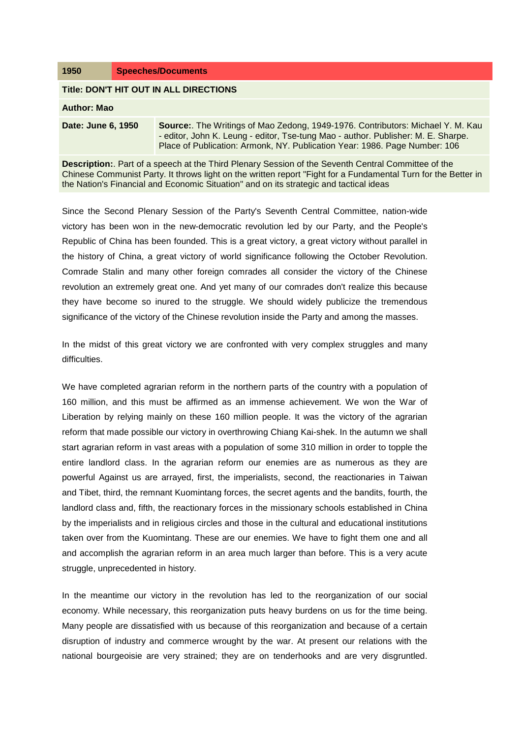# **1950 Speeches/Documents**

# **Title: DON'T HIT OUT IN ALL DIRECTIONS**

# **Author: Mao**

# **Date: June 6, 1950 Source:**. The Writings of Mao Zedong, 1949-1976. Contributors: Michael Y. M. Kau - editor, John K. Leung - editor, Tse-tung Mao - author. Publisher: M. E. Sharpe. Place of Publication: Armonk, NY. Publication Year: 1986. Page Number: 106

**Description:**. Part of a speech at the Third Plenary Session of the Seventh Central Committee of the Chinese Communist Party. It throws light on the written report "Fight for a Fundamental Turn for the Better in the Nation's Financial and Economic Situation" and on its strategic and tactical ideas

Since the Second Plenary Session of the Party's Seventh Central Committee, nation-wide victory has been won in the new-democratic revolution led by our Party, and the People's Republic of China has been founded. This is a great victory, a great victory without parallel in the history of China, a great victory of world significance following the October Revolution. Comrade Stalin and many other foreign comrades all consider the victory of the Chinese revolution an extremely great one. And yet many of our comrades don't realize this because they have become so inured to the struggle. We should widely publicize the tremendous significance of the victory of the Chinese revolution inside the Party and among the masses.

In the midst of this great victory we are confronted with very complex struggles and many difficulties.

We have completed agrarian reform in the northern parts of the country with a population of 160 million, and this must be affirmed as an immense achievement. We won the War of Liberation by relying mainly on these 160 million people. It was the victory of the agrarian reform that made possible our victory in overthrowing Chiang Kai-shek. In the autumn we shall start agrarian reform in vast areas with a population of some 310 million in order to topple the entire landlord class. In the agrarian reform our enemies are as numerous as they are powerful Against us are arrayed, first, the imperialists, second, the reactionaries in Taiwan and Tibet, third, the remnant Kuomintang forces, the secret agents and the bandits, fourth, the landlord class and, fifth, the reactionary forces in the missionary schools established in China by the imperialists and in religious circles and those in the cultural and educational institutions taken over from the Kuomintang. These are our enemies. We have to fight them one and all and accomplish the agrarian reform in an area much larger than before. This is a very acute struggle, unprecedented in history.

In the meantime our victory in the revolution has led to the reorganization of our social economy. While necessary, this reorganization puts heavy burdens on us for the time being. Many people are dissatisfied with us because of this reorganization and because of a certain disruption of industry and commerce wrought by the war. At present our relations with the national bourgeoisie are very strained; they are on tenderhooks and are very disgruntled.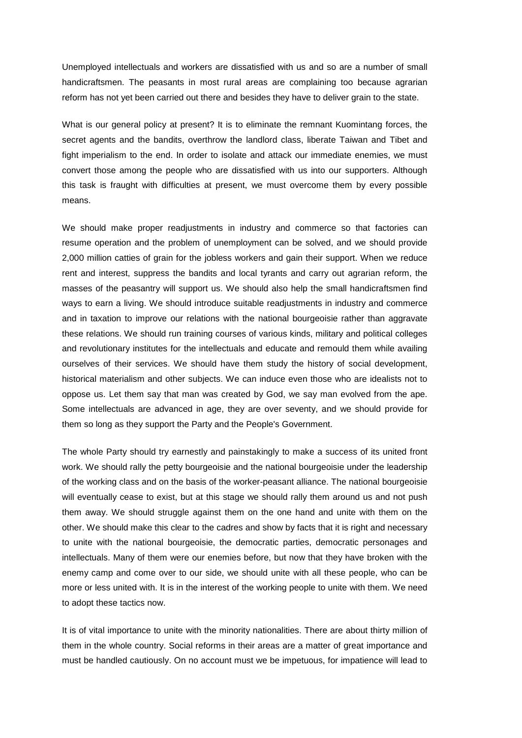Unemployed intellectuals and workers are dissatisfied with us and so are a number of small handicraftsmen. The peasants in most rural areas are complaining too because agrarian reform has not yet been carried out there and besides they have to deliver grain to the state.

What is our general policy at present? It is to eliminate the remnant Kuomintang forces, the secret agents and the bandits, overthrow the landlord class, liberate Taiwan and Tibet and fight imperialism to the end. In order to isolate and attack our immediate enemies, we must convert those among the people who are dissatisfied with us into our supporters. Although this task is fraught with difficulties at present, we must overcome them by every possible means.

We should make proper readjustments in industry and commerce so that factories can resume operation and the problem of unemployment can be solved, and we should provide 2,000 million catties of grain for the jobless workers and gain their support. When we reduce rent and interest, suppress the bandits and local tyrants and carry out agrarian reform, the masses of the peasantry will support us. We should also help the small handicraftsmen find ways to earn a living. We should introduce suitable readjustments in industry and commerce and in taxation to improve our relations with the national bourgeoisie rather than aggravate these relations. We should run training courses of various kinds, military and political colleges and revolutionary institutes for the intellectuals and educate and remould them while availing ourselves of their services. We should have them study the history of social development, historical materialism and other subjects. We can induce even those who are idealists not to oppose us. Let them say that man was created by God, we say man evolved from the ape. Some intellectuals are advanced in age, they are over seventy, and we should provide for them so long as they support the Party and the People's Government.

The whole Party should try earnestly and painstakingly to make a success of its united front work. We should rally the petty bourgeoisie and the national bourgeoisie under the leadership of the working class and on the basis of the worker-peasant alliance. The national bourgeoisie will eventually cease to exist, but at this stage we should rally them around us and not push them away. We should struggle against them on the one hand and unite with them on the other. We should make this clear to the cadres and show by facts that it is right and necessary to unite with the national bourgeoisie, the democratic parties, democratic personages and intellectuals. Many of them were our enemies before, but now that they have broken with the enemy camp and come over to our side, we should unite with all these people, who can be more or less united with. It is in the interest of the working people to unite with them. We need to adopt these tactics now.

It is of vital importance to unite with the minority nationalities. There are about thirty million of them in the whole country. Social reforms in their areas are a matter of great importance and must be handled cautiously. On no account must we be impetuous, for impatience will lead to